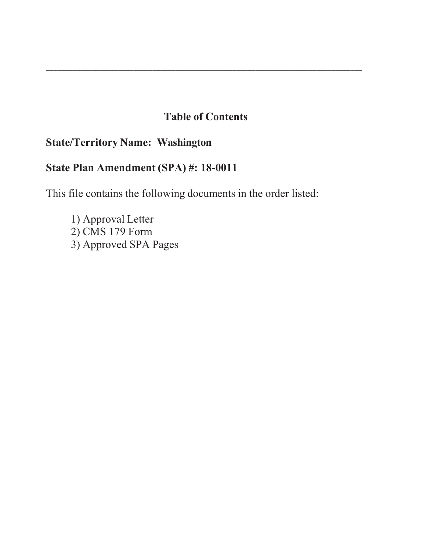# **Table of Contents**

\_\_\_\_\_\_\_\_\_\_\_\_\_\_\_\_\_\_\_\_\_\_\_\_\_\_\_\_\_\_\_\_\_\_\_\_\_\_\_\_\_\_\_\_\_\_\_\_\_\_\_\_\_\_\_\_\_\_\_\_\_\_\_\_\_\_\_\_\_\_\_\_\_\_\_\_\_\_\_\_\_\_\_

# **State/Territory Name: Washington**

# **State Plan Amendment (SPA) #: 18-00**

This file contains the following documents in the order listed:

1) Approval Letter  $2)$  CMS 179 Form 3) Approved SPA Pages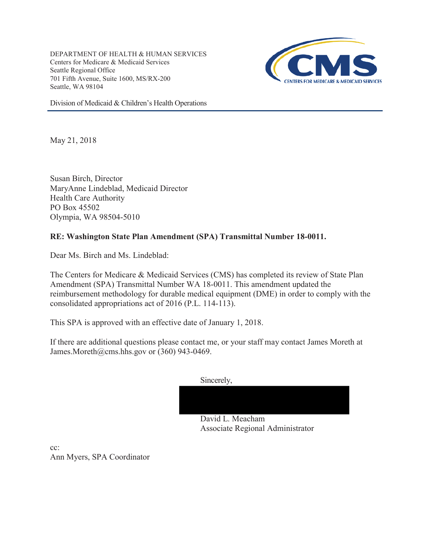DEPARTMENT OF HEALTH & HUMAN SERVICES Centers for Medicare & Medicaid Services Seattle Regional Office 701 Fifth Avenue, Suite 1600, MS/RX-200 Seattle, WA 98104



Division of Medicaid & Children's Health Operations

May 21, 2018

Susan Birch, Director MaryAnne Lindeblad, Medicaid Director Health Care Authority PO Box 45502 Olympia, WA 98504-5010

### **RE: Washington State Plan Amendment (SPA) Transmittal Number 18-0011.**

Dear Ms. Birch and Ms. Lindeblad:

The Centers for Medicare & Medicaid Services (CMS) has completed its review of State Plan Amendment (SPA) Transmittal Number WA 18-0011. This amendment updated the reimbursement methodology for durable medical equipment (DME) in order to comply with the consolidated appropriations act of 2016 (P.L. 114-113).

This SPA is approved with an effective date of January 1, 2018.

If there are additional questions please contact me, or your staff may contact James Moreth at James.Moreth@cms.hhs.gov or (360) 943-0469.

| Sincerely,       |  |  |
|------------------|--|--|
|                  |  |  |
|                  |  |  |
| David J. Meacham |  |  |

David L. Meacham Associate Regional Administrator

cc: Ann Myers, SPA Coordinator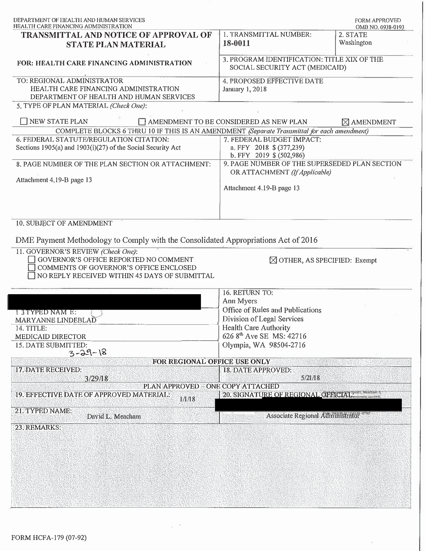| HEALTH CARE FINANCING ADMINISTRATION                                                                                  |                                                                                    | <b>FORM APPROVED</b><br>OMB NO. 0938-0193 |  |
|-----------------------------------------------------------------------------------------------------------------------|------------------------------------------------------------------------------------|-------------------------------------------|--|
| <b>TRANSMITTAL AND NOTICE OF APPROVAL OF</b><br><b>STATE PLAN MATERIAL</b>                                            | 1. TRANSMITTAL NUMBER:<br>18-0011                                                  | 2. STATE<br>Washington                    |  |
| <b>FOR: HEALTH CARE FINANCING ADMINISTRATION</b>                                                                      | 3. PROGRAM IDENTIFICATION: TITLE XIX OF THE<br>SOCIAL SECURITY ACT (MEDICAID)      |                                           |  |
| TO: REGIONAL ADMINISTRATOR<br>HEALTH CARE FINANCING ADMINISTRATION<br>DEPARTMENT OF HEALTH AND HUMAN SERVICES         | 4. PROPOSED EFFECTIVE DATE<br><b>January 1, 2018</b>                               |                                           |  |
| 5. TYPE OF PLAN MATERIAL (Check One):                                                                                 |                                                                                    |                                           |  |
| NEW STATE PLAN                                                                                                        | $\Box$ AMENDMENT TO BE CONSIDERED AS NEW PLAN                                      | $\boxtimes$ AMENDMENT                     |  |
| COMPLETE BLOCKS 6 THRU 10 IF THIS IS AN AMENDMENT (Separate Transmittal for each amendment)                           |                                                                                    |                                           |  |
| 6. FEDERAL STATUTE/REGULATION CITATION:<br>Sections 1905(a) and 1903(i)(27) of the Social Security Act                | 7. FEDERAL BUDGET IMPACT:<br>a. FFY 2018 \$ (377,239)<br>b. FFY 2019 $$ (502,986)$ |                                           |  |
| 8. PAGE NUMBER OF THE PLAN SECTION OR ATTACHMENT:                                                                     | 9. PAGE NUMBER OF THE SUPERSEDED PLAN SECTION                                      |                                           |  |
| Attachment 4.19-B page 13                                                                                             | OR ATTACHMENT (If Applicable)<br>Attachment 4.19-B page 13                         |                                           |  |
|                                                                                                                       |                                                                                    |                                           |  |
| 10. SUBJECT OF AMENDMENT                                                                                              |                                                                                    |                                           |  |
| DME Payment Methodology to Comply with the Consolidated Appropriations Act of 2016                                    |                                                                                    |                                           |  |
| 11. GOVERNOR'S REVIEW (Check One):<br>OOVERNOR'S OFFICE REPORTED NO COMMENT<br>COMMENTS OF GOVERNOR'S OFFICE ENCLOSED | $\boxtimes$ OTHER, AS SPECIFIED: Exempt                                            |                                           |  |
| NO REPLY RECEIVED WITHIN 45 DAYS OF SUBMITTAL                                                                         |                                                                                    |                                           |  |
|                                                                                                                       | 16. RETURN TO:                                                                     |                                           |  |
|                                                                                                                       | Ann Myers                                                                          |                                           |  |
| 13TYPED NAM E:                                                                                                        | Office of Rules and Publications<br>Division of Legal Services                     |                                           |  |
| MARYANNE LINDEBLAD<br>14. TITLE:                                                                                      | Health Care Authority                                                              |                                           |  |
| MEDICAID DIRECTOR                                                                                                     | 626 8th Ave SE MS: 42716                                                           |                                           |  |
| 15. DATE SUBMITTED:                                                                                                   | Olympia, WA 98504-2716                                                             |                                           |  |
| $3 - 29 - 18$<br>FOR REGIONAL OFFICE USE ONLY                                                                         |                                                                                    |                                           |  |
| 17. DATE RECEIVED:                                                                                                    | 18. DATE APPROVED:                                                                 |                                           |  |
| 3/29/18                                                                                                               | 5/21/18                                                                            |                                           |  |
| PLAN APPROVED - ONE COPY ATTACHED                                                                                     | 20. SIGNATURE OF REGIONAL CHERICIAL CONVERSION DRAGARDING                          |                                           |  |
|                                                                                                                       |                                                                                    |                                           |  |
| 19. EFFECTIVE DATE OF APPROVED MATERIAL:<br>1/1/18                                                                    |                                                                                    |                                           |  |
| 21. TYPED NAME:<br>David L. Meacham<br>23. REMARKS:                                                                   | Associate Regional Administrator or or                                             |                                           |  |

 $\mathbf{g} = \mathbf{g}$ 

 $\langle \mathcal{L}_{\mathbf{a}} \rangle$ 

I